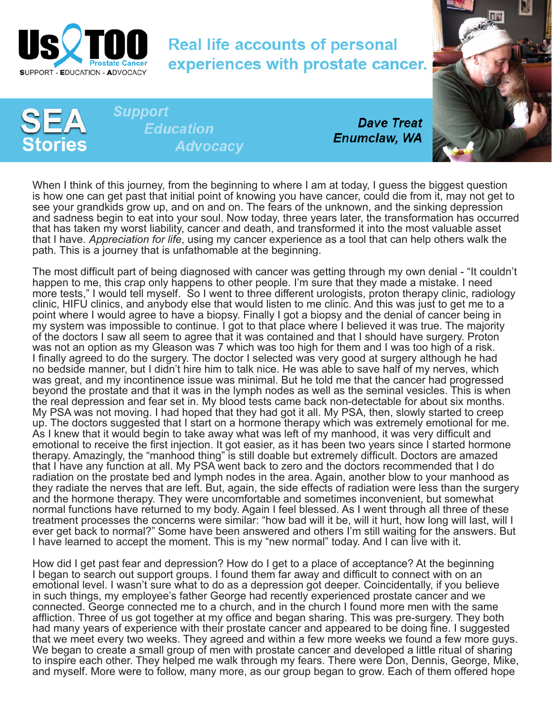

## **Real life accounts of personal** experiences with prostate cancer.



**Support Education Advocacy** 

**Dave Treat Enumclaw, WA** 

When I think of this journey, from the beginning to where I am at today, I guess the biggest question is how one can get past that initial point of knowing you have cancer, could die from it, may not get to see your grandkids grow up, and on and on. The fears of the unknown, and the sinking depression and sadness begin to eat into your soul. Now today, three years later, the transformation has occurred that has taken my worst liability, cancer and death, and transformed it into the most valuable asset that I have. *Appreciation for life*, using my cancer experience as a tool that can help others walk the path. This is a journey that is unfathomable at the beginning.

The most difficult part of being diagnosed with cancer was getting through my own denial - "It couldn't happen to me, this crap only happens to other people. I'm sure that they made a mistake. I need more tests," I would tell myself. So I went to three different urologists, proton therapy clinic, radiology clinic, HIFU clinics, and anybody else that would listen to me clinic. And this was just to get me to a point where I would agree to have a biopsy. Finally I got a biopsy and the denial of cancer being in my system was impossible to continue. I got to that place where I believed it was true. The majority of the doctors I saw all seem to agree that it was contained and that I should have surgery. Proton was not an option as my Gleason was 7 which was too high for them and I was too high of a risk. I finally agreed to do the surgery. The doctor I selected was very good at surgery although he had no bedside manner, but I didn't hire him to talk nice. He was able to save half of my nerves, which was great, and my incontinence issue was minimal. But he told me that the cancer had progressed beyond the prostate and that it was in the lymph nodes as well as the seminal vesicles. This is when the real depression and fear set in. My blood tests came back non-detectable for about six months. My PSA was not moving. I had hoped that they had got it all. My PSA, then, slowly started to creep up. The doctors suggested that I start on a hormone therapy which was extremely emotional for me. As I knew that it would begin to take away what was left of my manhood, it was very difficult and emotional to receive the first injection. It got easier, as it has been two years since I started hormone therapy. Amazingly, the "manhood thing" is still doable but extremely difficult. Doctors are amazed that I have any function at all. My PSA went back to zero and the doctors recommended that I do radiation on the prostate bed and lymph nodes in the area. Again, another blow to your manhood as they radiate the nerves that are left. But, again, the side effects of radiation were less than the surgery and the hormone therapy. They were uncomfortable and sometimes inconvenient, but somewhat normal functions have returned to my body. Again I feel blessed. As I went through all three of these treatment processes the concerns were similar: "how bad will it be, will it hurt, how long will last, will I ever get back to normal?" Some have been answered and others I'm still waiting for the answers. But I have learned to accept the moment. This is my "new normal" today. And I can live with it.

How did I get past fear and depression? How do I get to a place of acceptance? At the beginning I began to search out support groups. I found them far away and difficult to connect with on an emotional level. I wasn't sure what to do as a depression got deeper. Coincidentally, if you believe in such things, my employee's father George had recently experienced prostate cancer and we connected. George connected me to a church, and in the church I found more men with the same affliction. Three of us got together at my office and began sharing. This was pre-surgery. They both had many years of experience with their prostate cancer and appeared to be doing fine. I suggested that we meet every two weeks. They agreed and within a few more weeks we found a few more guys. We began to create a small group of men with prostate cancer and developed a little ritual of sharing to inspire each other. They helped me walk through my fears. There were Don, Dennis, George, Mike, and myself. More were to follow, many more, as our group began to grow. Each of them offered hope